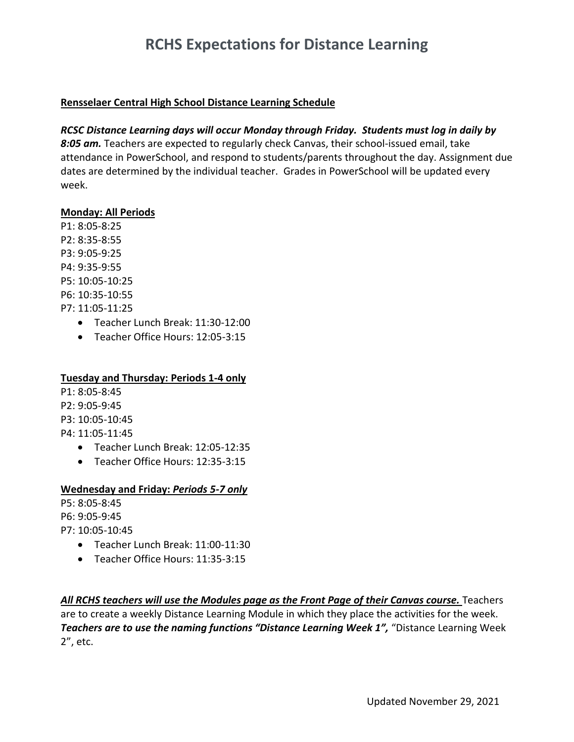# **RCHS Expectations for Distance Learning**

## **Rensselaer Central High School Distance Learning Schedule**

## *RCSC Distance Learning days will occur Monday through Friday. Students must log in daily by*

*8:05 am.* Teachers are expected to regularly check Canvas, their school-issued email, take attendance in PowerSchool, and respond to students/parents throughout the day. Assignment due dates are determined by the individual teacher. Grades in PowerSchool will be updated every week.

## **Monday: All Periods**

P1: 8:05-8:25 P2: 8:35-8:55 P3: 9:05-9:25 P4: 9:35-9:55 P5: 10:05-10:25 P6: 10:35-10:55 P7: 11:05-11:25

- Teacher Lunch Break: 11:30-12:00
- Teacher Office Hours: 12:05-3:15

# **Tuesday and Thursday: Periods 1-4 only**

- P1: 8:05-8:45 P2: 9:05-9:45 P3: 10:05-10:45 P4: 11:05-11:45
	- Teacher Lunch Break: 12:05-12:35
	- Teacher Office Hours: 12:35-3:15

# **Wednesday and Friday:** *Periods 5-7 only*

P5: 8:05-8:45 P6: 9:05-9:45 P7: 10:05-10:45

- Teacher Lunch Break: 11:00-11:30
- Teacher Office Hours: 11:35-3:15

*All RCHS teachers will use the Modules page as the Front Page of their Canvas course.* Teachers are to create a weekly Distance Learning Module in which they place the activities for the week. *Teachers are to use the naming functions "Distance Learning Week 1",* "Distance Learning Week 2", etc.